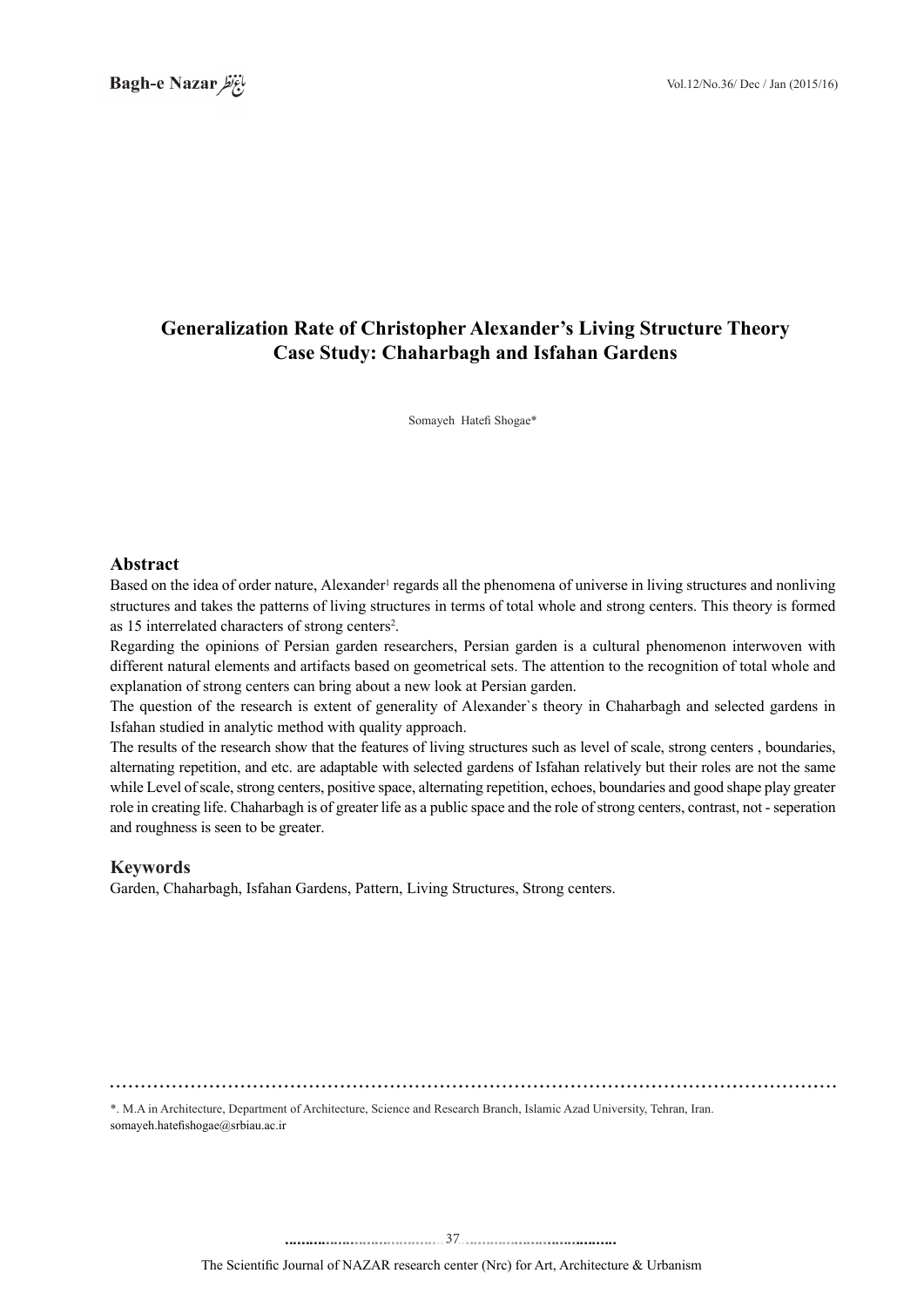# **Generalization Rate of Christopher Alexander's Living Structure Theory Case Study: Chaharbagh and Isfahan Gardens**

Somayeh Hatefi Shogae\*

#### **Abstract**

Based on the idea of order nature, Alexander<sup>1</sup> regards all the phenomena of universe in living structures and nonliving structures and takes the patterns of living structures in terms of total whole and strong centers. This theory is formed as 15 interrelated characters of strong centers<sup>2</sup>.

Regarding the opinions of Persian garden researchers, Persian garden is a cultural phenomenon interwoven with different natural elements and artifacts based on geometrical sets. The attention to the recognition of total whole and explanation of strong centers can bring about a new look at Persian garden.

The question of the research is extent of generality of Alexander's theory in Chaharbagh and selected gardens in Isfahan studied in analytic method with quality approach.

The results of the research show that the features of living structures such as level of scale, strong centers, boundaries, alternating repetition, and etc. are adaptable with selected gardens of Isfahan relatively but their roles are not the same while Level of scale, strong centers, positive space, alternating repetition, echoes, boundaries and good shape play greater role in creating life. Chaharbagh is of greater life as a public space and the role of strong centers, contrast, not - seperation and roughness is seen to be greater.

# **Keywords**

Garden, Chaharbagh, Isfahan Gardens, Pattern, Living Structures, Strong centers.

\*. M.A in Architecture, Department of Architecture, Science and Research Branch, Islamic Azad University, Tehran, Iran. somayeh.hatefishogae@srbiau.ac.ir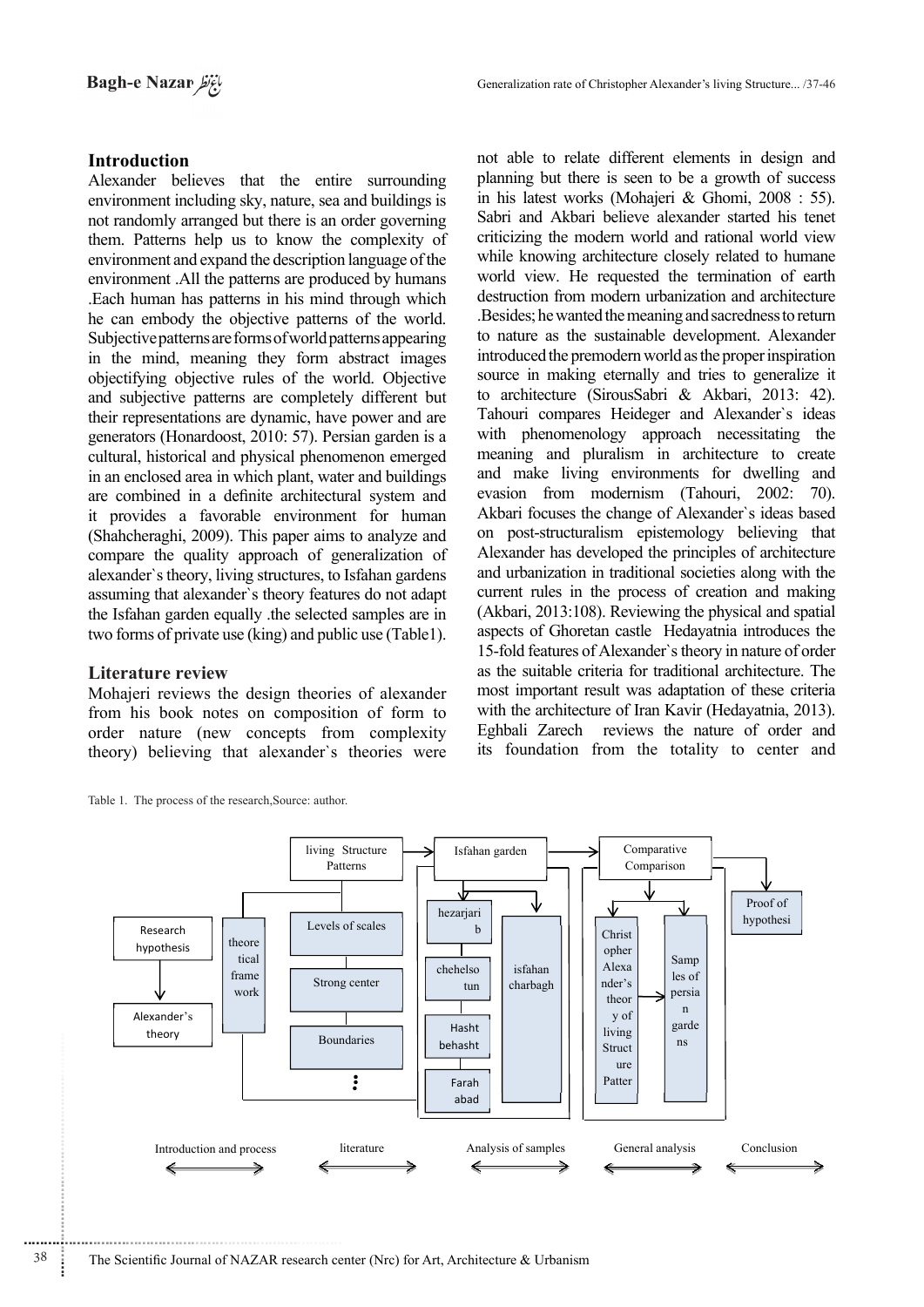# **Introduction**

Alexander believes that the entire surrounding environment including sky, nature, sea and buildings is not randomly arranged but there is an order governing them. Patterns help us to know the complexity of environment and expand the description language of the environment .All the patterns are produced by humans . Each human has patterns in his mind through which. he can embody the objective patterns of the world. Subjective patterns are forms of world patterns appearing in the mind, meaning they form abstract images objectifying objective rules of the world. Objective and subjective patterns are completely different but their representations are dynamic, have power and are generators (Honardoost, 2010: 57). Persian garden is a cultural, historical and physical phenomenon emerged in an enclosed area in which plant, water and buildings are combined in a definite architectural system and it provides a favorable environment for human  $(Shahcheraghi, 2009)$ . This paper aims to analyze and compare the quality approach of generalization of alexander's theory, living structures, to Isfahan gardens assuming that alexander's theory features do not adapt the Isfahan garden equally the selected samples are in two forms of private use (king) and public use (Table 1).

# **Literature** review

Mohajeri reviews the design theories of alexander from his book notes on composition of form to order nature (new concepts from complexity theory) believing that alexander's theories were

Table 1. The process of the research Source: author.

not able to relate different elements in design and planning but there is seen to be a growth of success in his latest works (Mohajeri & Ghomi,  $2008 : 55$ ). Sabri and Akbari believe alexander started his tenet criticizing the modern world and rational world view while knowing architecture closely related to humane world view. He requested the termination of earth destruction from modern urbanization and architecture . Besides; he wanted the meaning and sacredness to return to nature as the sustainable development. Alexander introduced the premodern world as the proper inspiration source in making eternally and tries to generalize it to architecture (SirousSabri & Akbari, 2013: 42). Tahouri compares Heideger and Alexander's ideas with phenomenology approach necessitating the meaning and pluralism in architecture to create and make living environments for dwelling and evasion from modernism (Tahouri, 2002: 70). Akbari focuses the change of Alexander's ideas based on post-structuralism epistemology believing that Alexander has developed the principles of architecture and urbanization in traditional societies along with the current rules in the process of creation and making  $(Akbari, 2013:108)$ . Reviewing the physical and spatial aspects of Ghoretan castle Hedayatnia introduces the 15-fold features of Alexander's theory in nature of order as the suitable criteria for traditional architecture. The most important result was adaptation of these criteria with the architecture of Iran Kavir (Hedayatnia, 2013). Eghbali Zarech reviews the nature of order and its foundation from the totality to center and



............................................................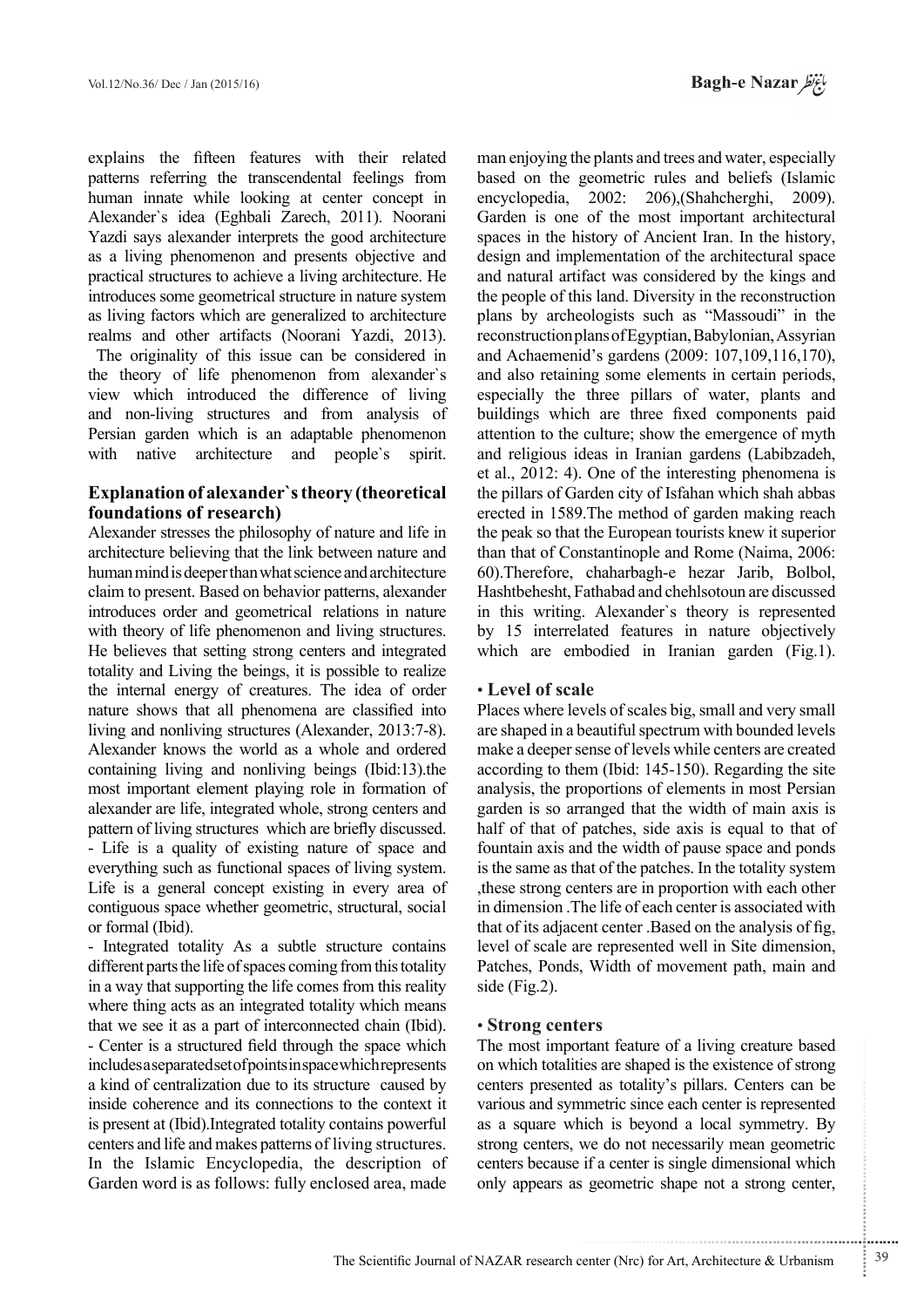explains the fifteen features with their related patterns referring the transcendental feelings from human innate while looking at center concept in Alexander's idea (Eghbali Zarech, 2011). Noorani Yazdi says alexander interprets the good architecture as a living phenomenon and presents objective and practical structures to achieve a living architecture. He introduces some geometrical structure in nature system as living factors which are generalized to architecture realms and other artifacts (Noorani Yazdi, 2013).

The originality of this issue can be considered in the theory of life phenomenon from alexander's view which introduced the difference of living and non-living structures and from analysis of Persian garden which is an adaptable phenomenon with native architecture and people's spirit.

# **Explanation of alexander's theory (theoretical (foundations of research)**

Alexander stresses the philosophy of nature and life in architecture believing that the link between nature and human mind is deeper than what science and architecture claim to present. Based on behavior patterns, alexander introduces order and geometrical relations in nature with theory of life phenomenon and living structures. He believes that setting strong centers and integrated totality and Living the beings, it is possible to realize the internal energy of creatures. The idea of order nature shows that all phenomena are classified into living and nonliving structures (Alexander,  $2013:7-8$ ). Alexander knows the world as a whole and ordered containing living and nonliving beings  $(Ibid:13).$ most important element playing role in formation of alexander are life, integrated whole, strong centers and pattern of living structures which are briefly discussed. - Life is a quality of existing nature of space and everything such as functional spaces of living system. Life is a general concept existing in every area of contiguous space whether geometric, structural, social or formal (Ibid).

- Integrated totality As a subtle structure contains different parts the life of spaces coming from this totality in a way that supporting the life comes from this reality where thing acts as an integrated totality which means that we see it as a part of interconnected chain (Ibid). - Center is a structured field through the space which includes as eparated set of points in space which represents a kind of centralization due to its structure caused by inside coherence and its connections to the context it is present at (Ibid). Integrated totality contains powerful centers and life and makes patterns of living structures. In the Islamic Encyclopedia, the description of Garden word is as follows: fully enclosed area, made

man enjoying the plants and trees and water, especially based on the geometric rules and beliefs (Islamic encyclopedia,  $2002$ :  $206$ ), (Shahcherghi,  $2009$ ). Garden is one of the most important architectural spaces in the history of Ancient Iran. In the history, design and implementation of the architectural space and natural artifact was considered by the kings and the people of this land. Diversity in the reconstruction plans by archeologists such as "Massoudi" in the reconstruction plans of Egyptian, Babylonian, Assyrian and Achaemenid's gardens (2009: 107,109,116,170), and also retaining some elements in certain periods, especially the three pillars of water, plants and buildings which are three fixed components paid attention to the culture; show the emergence of myth and religious ideas in Iranian gardens (Labibzadeh, et al.,  $2012: 4$ ). One of the interesting phenomena is the pillars of Garden city of Isfahan which shah abbas erected in 1589. The method of garden making reach the peak so that the European tourists knew it superior than that of Constantinople and Rome (Naima, 2006: 60).Therefore, chaharbagh-e hezar Jarib, Bolbol, Hashtbehesht, Fathabad and chehlsotoun are discussed in this writing. Alexander's theory is represented by 15 interrelated features in nature objectively which are embodied in Iranian garden  $(Fig.1)$ .

# • Level of scale

Places where levels of scales big, small and very small are shaped in a beautiful spectrum with bounded levels make a deeper sense of levels while centers are created according to them (Ibid:  $145-150$ ). Regarding the site analysis, the proportions of elements in most Persian garden is so arranged that the width of main axis is half of that of patches, side axis is equal to that of fountain axis and the width of pause space and ponds is the same as that of the patches. In the totality system these strong centers are in proportion with each other in dimension. The life of each center is associated with. that of its adjacent center .Based on the analysis of fig. level of scale are represented well in Site dimension, Patches, Ponds, Width of movement path, main and side (Fig. 2).

# • Strong centers

The most important feature of a living creature based on which totalities are shaped is the existence of strong centers presented as totality's pillars. Centers can be various and symmetric since each center is represented as a square which is beyond a local symmetry. By strong centers, we do not necessarily mean geometric centers because if a center is single dimensional which only appears as geometric shape not a strong center,

.......... ....... ........ ........... ...... ....... ........ .......... ...........

...........................................................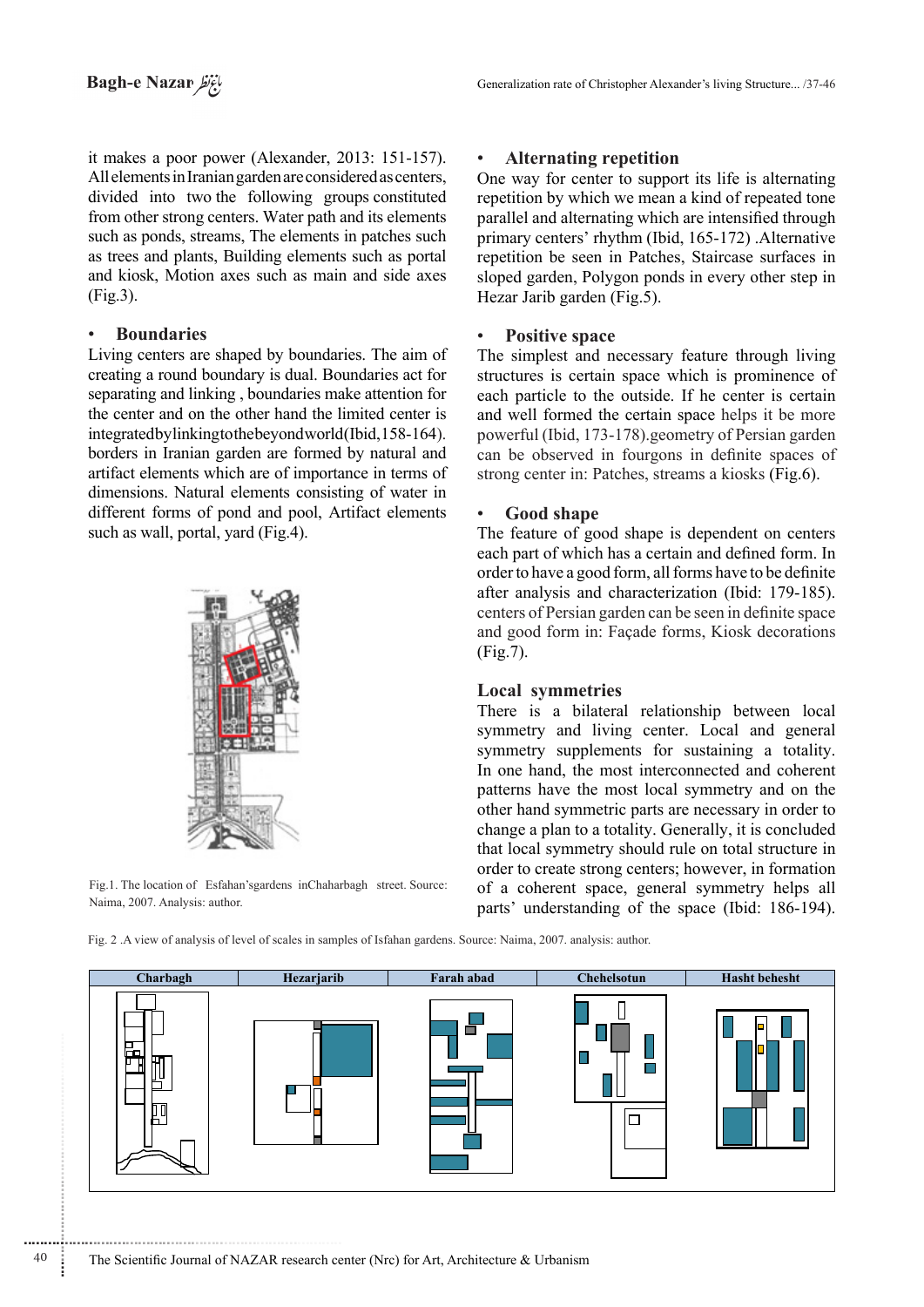it makes a poor power (Alexander,  $2013: 151-157$ ). All elements in Iranian garden are considered as centers, divided into two the following groups constituted from other strong centers. Water path and its elements such as ponds, streams, The elements in patches such as trees and plants, Building elements such as portal and kiosk, Motion axes such as main and side axes  $(Fig.3)$ .

# **Boundaries**•

............................................................

Living centers are shaped by boundaries. The aim of creating a round boundary is dual. Boundaries act for separating and linking, boundaries make attention for the center and on the other hand the limited center is integrated by linking to the beyond world (Ibid, 158-164). borders in Iranian garden are formed by natural and artifact elements which are of importance in terms of dimensions. Natural elements consisting of water in different forms of pond and pool, Artifact elements such as wall, portal, yard (Fig.4).



Fig.1. The location of Esfahan's gardens in Chaharbagh street. Source: Naima, 2007. Analysis: author.

# • Alternating repetition

One way for center to support its life is alternating repetition by which we mean a kind of repeated tone parallel and alternating which are intensified through primary centers' rhythm (Ibid, 165-172) .Alternative repetition be seen in Patches, Staircase surfaces in sloped garden, Polygon ponds in every other step in Hezar Jarib garden (Fig.5).

# **Positive** space

The simplest and necessary feature through living structures is certain space which is prominence of each particle to the outside. If he center is certain and well formed the certain space helps it be more powerful (Ibid, 173-178) geometry of Persian garden can be observed in fourgons in definite spaces of strong center in: Patches, streams a kiosks (Fig.6).

# Good shape

The feature of good shape is dependent on centers each part of which has a certain and defined form. In order to have a good form, all forms have to be definite after analysis and characterization (Ibid: 179-185). centers of Persian garden can be seen in definite space and good form in: Façade forms, Kiosk decorations  $(Fig.7)$ .

#### Local symmetries

There is a bilateral relationship between local symmetry and living center. Local and general symmetry supplements for sustaining a totality. In one hand, the most interconnected and coherent patterns have the most local symmetry and on the other hand symmetric parts are necessary in order to change a plan to a totality. Generally, it is concluded that local symmetry should rule on total structure in order to create strong centers; however, in formation of a coherent space, general symmetry helps all parts' understanding of the space (Ibid: 186-194).

Fig. 2. A view of analysis of level of scales in samples of Isfahan gardens. Source: Naima, 2007. analysis: author.

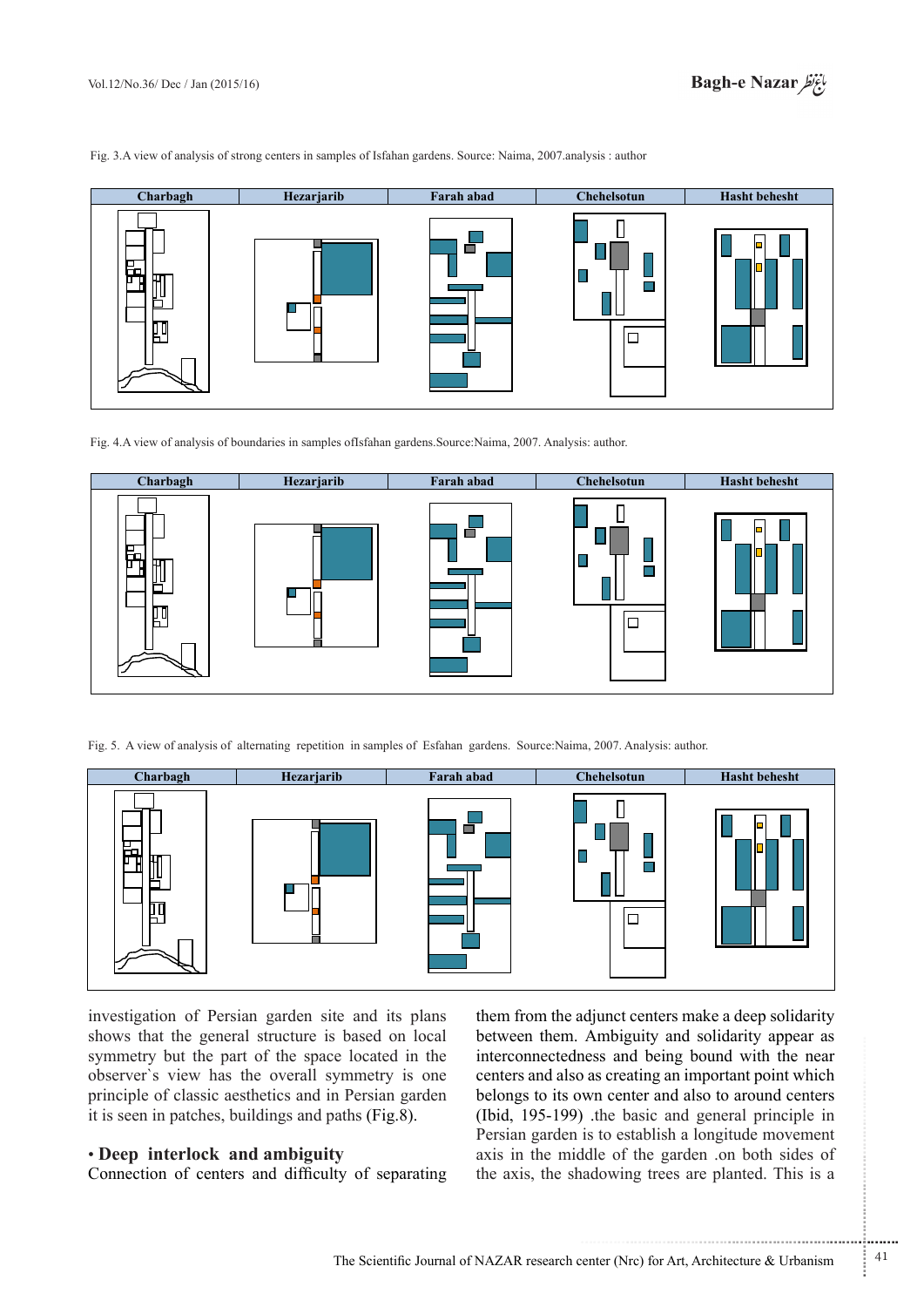**behefre Charbagh Hezarjarib Farah** abad **Chehelsotun Hasht** behesht  $\mathbf{\mathsf{I}}$ П m.  $\Box$ 

Fig. 3.A view of analysis of strong centers in samples of Isfahan gardens. Source: Naima, 2007. analysis : author

Fig. 4.A view of analysis of boundaries in samples ofIsfahan gardens.Source:Naima, 2007. Analysis: author.



Fig. 5. A view of analysis of alternating repetition in samples of Esfahan gardens. Source:Naima, 2007. Analysis: author.



investigation of Persian garden site and its plans shows that the general structure is based on local symmetry but the part of the space located in the observer's view has the overall symmetry is one principle of classic aesthetics and in Persian garden it is seen in patches, buildings and paths  $(Fig.8)$ .

# **• Deep** interlock and ambiguity

Connection of centers and difficulty of separating

them from the adjunct centers make a deep solidarity between them. Ambiguity and solidarity appear as interconnectedness and being bound with the near centers and also as creating an important point which belongs to its own center and also to around centers (Ibid,  $195-199$ ) the basic and general principle in. Persian garden is to establish a longitude movement axis in the middle of the garden on both sides of the axis, the shadowing trees are planted. This is a

.......... ....... ........ ........... ...... ....... ........ .......... ...........

...........................................................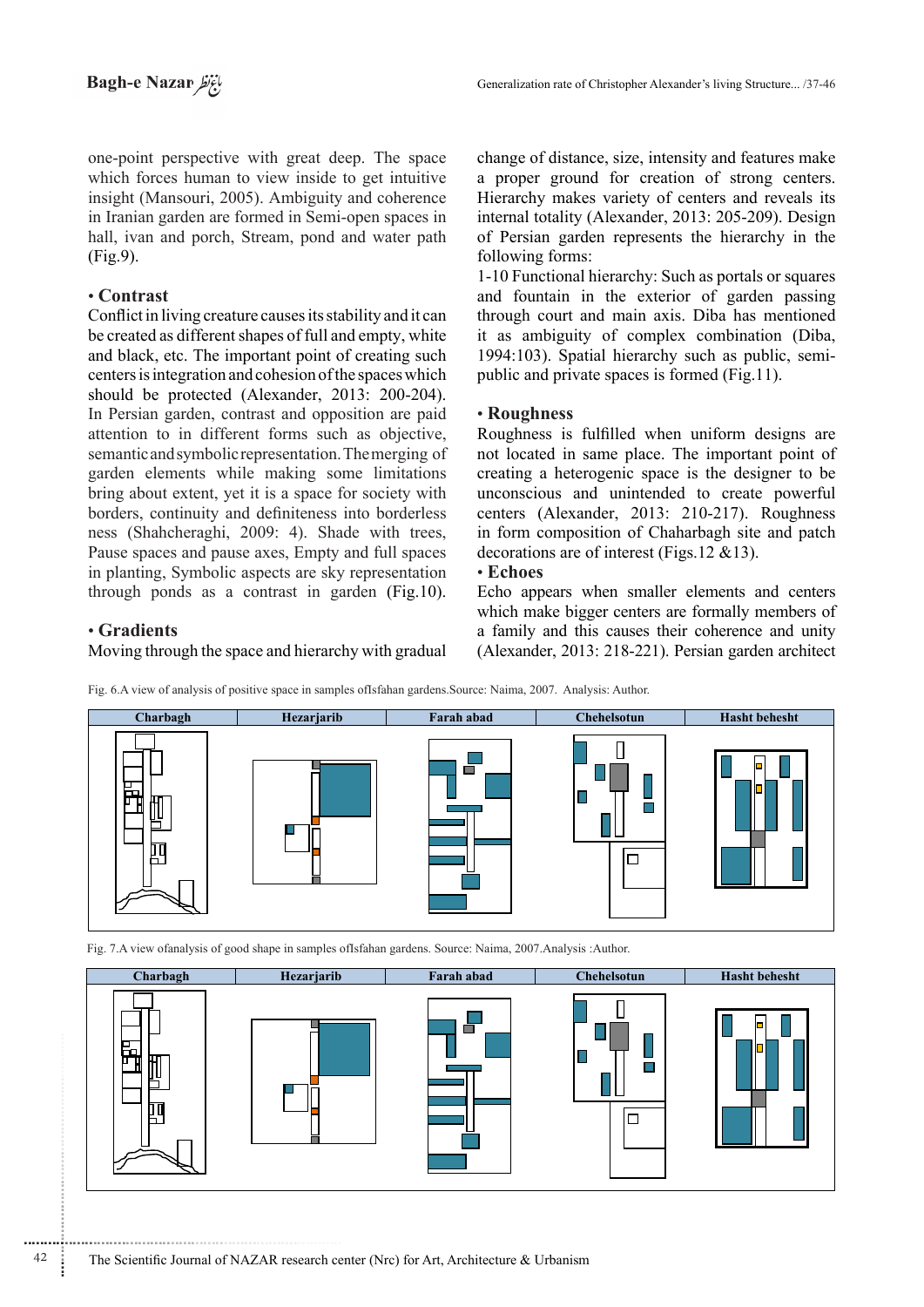one-point perspective with great deep. The space which forces human to view inside to get intuitive insight (Mansouri, 2005). Ambiguity and coherence in Iranian garden are formed in Semi-open spaces in hall, ivan and porch, Stream, pond and water path  $(Fi\mathfrak{g}, 9)$ .

# **Contrast**•

Conflict in living creature causes its stability and it can be created as different shapes of full and empty, white and black, etc. The important point of creating such centers is integration and cohesion of the spaces which should be protected (Alexander, 2013: 200-204). In Persian garden, contrast and opposition are paid attention to in different forms such as objective. semantic and symbolic representation. The merging of garden elements while making some limitations bring about extent, yet it is a space for society with borders, continuity and definiteness into borderless ness (Shahcheraghi, 2009: 4). Shade with trees, Pause spaces and pause axes, Empty and full spaces in planting, Symbolic aspects are sky representation through ponds as a contrast in garden  $(Fig.10)$ .

change of distance, size, intensity and features make a proper ground for creation of strong centers. Hierarchy makes variety of centers and reveals its internal totality (Alexander, 2013: 205-209). Design of Persian garden represents the hierarchy in the following forms:

1-10 Functional hierarchy: Such as portals or squares and fountain in the exterior of garden passing through court and main axis. Diba has mentioned it as ambiguity of complex combination (Diba, 1994:103). Spatial hierarchy such as public, semi-<br>public and private spaces is formed (Fig.11).

# **Roughness**•

Roughness is fulfilled when uniform designs are not located in same place. The important point of creating a heterogenic space is the designer to be unconscious and unintended to create powerful centers (Alexander, 2013: 210-217). Roughness in form composition of Chaharbagh site and patch decorations are of interest (Figs 12  $& 13$ ).

# **Echoes**•

**Gradients**•

............................................................

Moving through the space and hierarchy with gradual

Echo appears when smaller elements and centers which make bigger centers are formally members of a family and this causes their coherence and unity  $(Alexander, 2013: 218-221)$ . Persian garden architect

 $\Box$ 



Fig. 6.A view of analysis of positive space in samples ofIsfahan gardens Source: Naima, 2007. Analysis: Author.



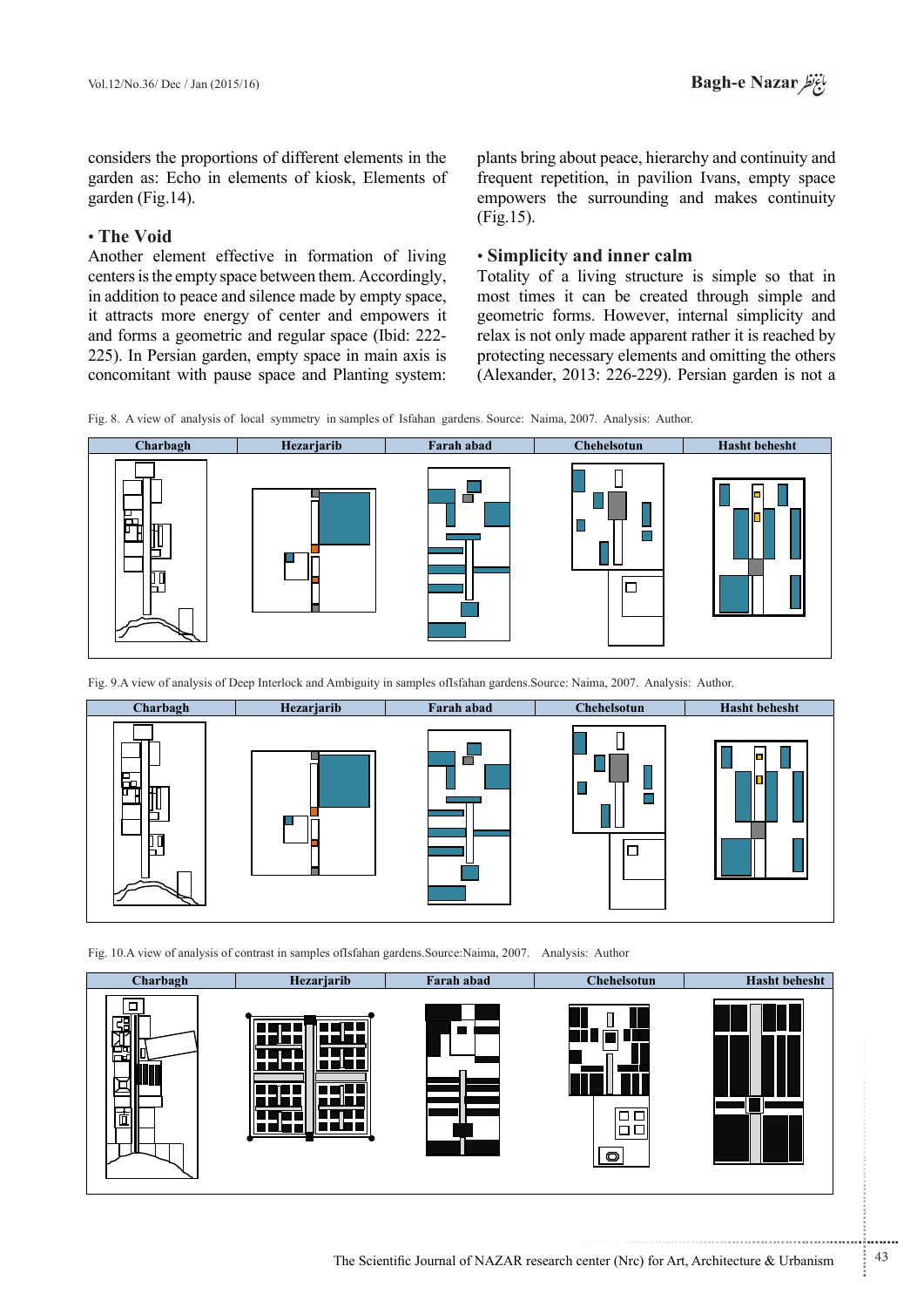considers the proportions of different elements in the garden as: Echo in elements of kiosk, Elements of garden (Fig.  $14$ ).

# **• The Void**

Another element effective in formation of living centers is the empty space between them. Accordingly, in addition to peace and silence made by empty space, it attracts more energy of center and empowers it and forms a geometric and regular space (Ibid: 222-225). In Persian garden, empty space in main axis is concomitant with pause space and Planting system:

plants bring about peace, hierarchy and continuity and frequent repetition, in pavilion Ivans, empty space empowers the surrounding and makes continuity  $(Fig.15)$ .

# **calm inner calm inner calm**

Totality of a living structure is simple so that in most times it can be created through simple and geometric forms. However, internal simplicity and relax is not only made apparent rather it is reached by protecting necessary elements and omitting the others (Alexander, 2013: 226-229). Persian garden is not a

Fig. 8. A view of analysis of local symmetry in samples of Isfahan gardens. Source: Naima, 2007. Analysis: Author.



Fig. 9.A view of analysis of Deep Interlock and Ambiguity in samples ofIsfahan gardens. Source: Naima, 2007. Analysis: Author



Fig. 10.A view of analysis of contrast in samples ofIsfahan gardens. Source: Naima, 2007. Analysis: Author



...........................................................

.......... ....... ........ ........... ...... ....... ........ .......... ...........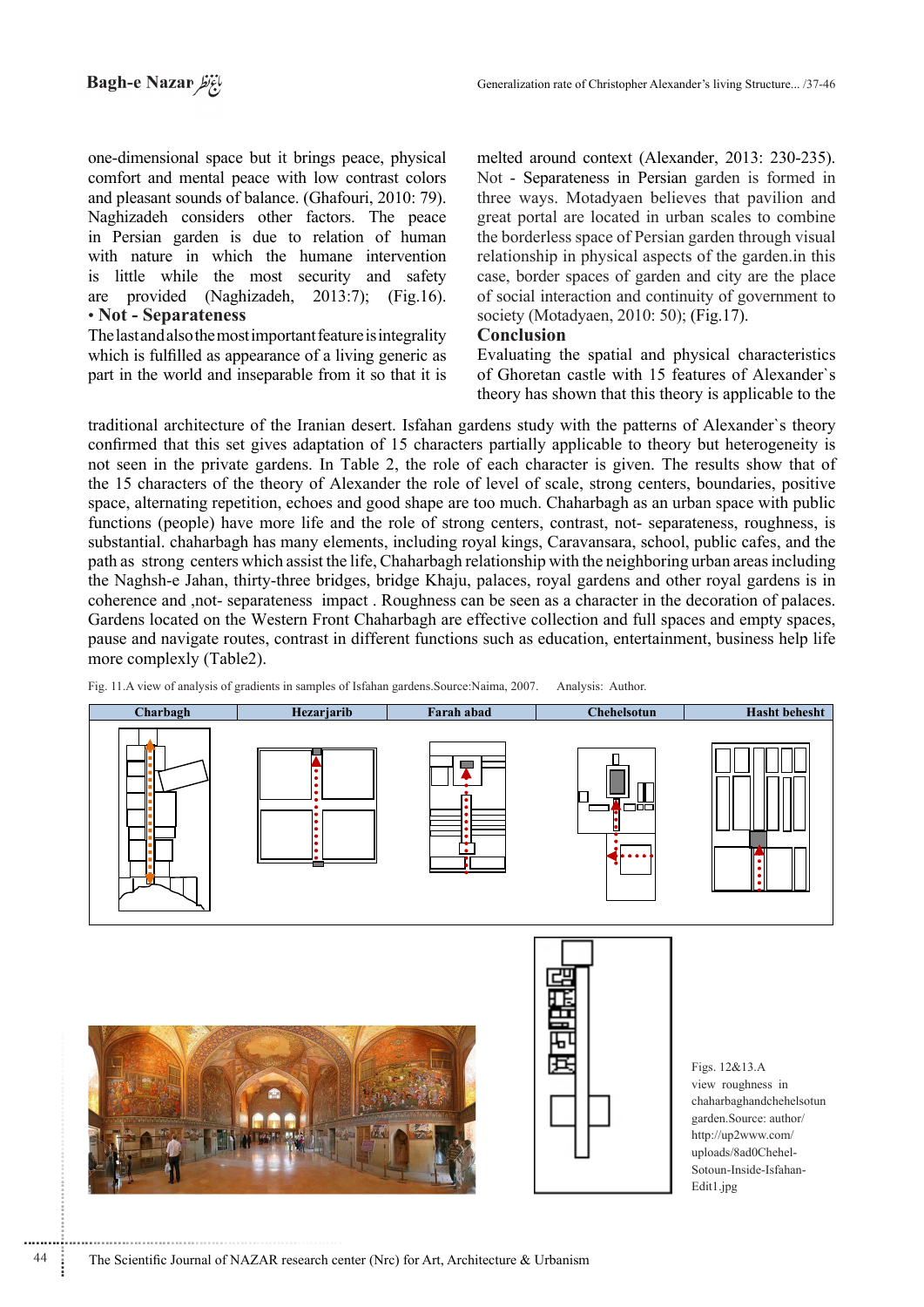one-dimensional space but it brings peace, physical comfort and mental peace with low contrast colors and pleasant sounds of balance. (Ghafouri, 2010: 79). Naghizadeh considers other factors. The peace in Persian garden is due to relation of human with nature in which the humane intervention is little while the most security and safety are provided (Naghizadeh, 2013:7); (Fig.16). • Not **- Separateness** 

The last and also the most important feature is integrality which is fulfilled as appearance of a living generic as part in the world and inseparable from it so that it is

melted around context (Alexander, 2013: 230-235). Not - Separateness in Persian garden is formed in three ways. Motadyaen believes that pavilion and great portal are located in urban scales to combine the borderless space of Persian garden through visual relationship in physical aspects of the garden in this case, border spaces of garden and city are the place of social interaction and continuity of government to society (Motadyaen, 2010: 50); (Fig. 17).

#### **Conclusion**

Evaluating the spatial and physical characteristics of Ghoretan castle with 15 features of Alexander's theory has shown that this theory is applicable to the

traditional architecture of the Iranian desert. Isfahan gardens study with the patterns of Alexander's theory confirmed that this set gives adaptation of 15 characters partially applicable to theory but heterogeneity is not seen in the private gardens. In Table 2, the role of each character is given. The results show that of the 15 characters of the theory of Alexander the role of level of scale, strong centers, boundaries, positive space, alternating repetition, echoes and good shape are too much. Chaharbagh as an urban space with public functions (people) have more life and the role of strong centers, contrast, not-separateness, roughness, is substantial, chaharbagh has many elements, including royal kings, Caravansara, school, public cafes, and the path as strong centers which assist the life. Chaharbagh relationship with the neighboring urban areas including the Naghsh-e Jahan, thirty-three bridges, bridge Khaju, palaces, royal gardens and other royal gardens is in coherence and , not-separateness impact. Roughness can be seen as a character in the decoration of palaces. Gardens located on the Western Front Chaharbagh are effective collection and full spaces and empty spaces, pause and navigate routes, contrast in different functions such as education, entertainment, business help life more complexly (Table 2).

Fig. 11.A view of analysis of gradients in samples of Isfahan gardens Source. Naima, 2007. Analysis: Author.



............................................................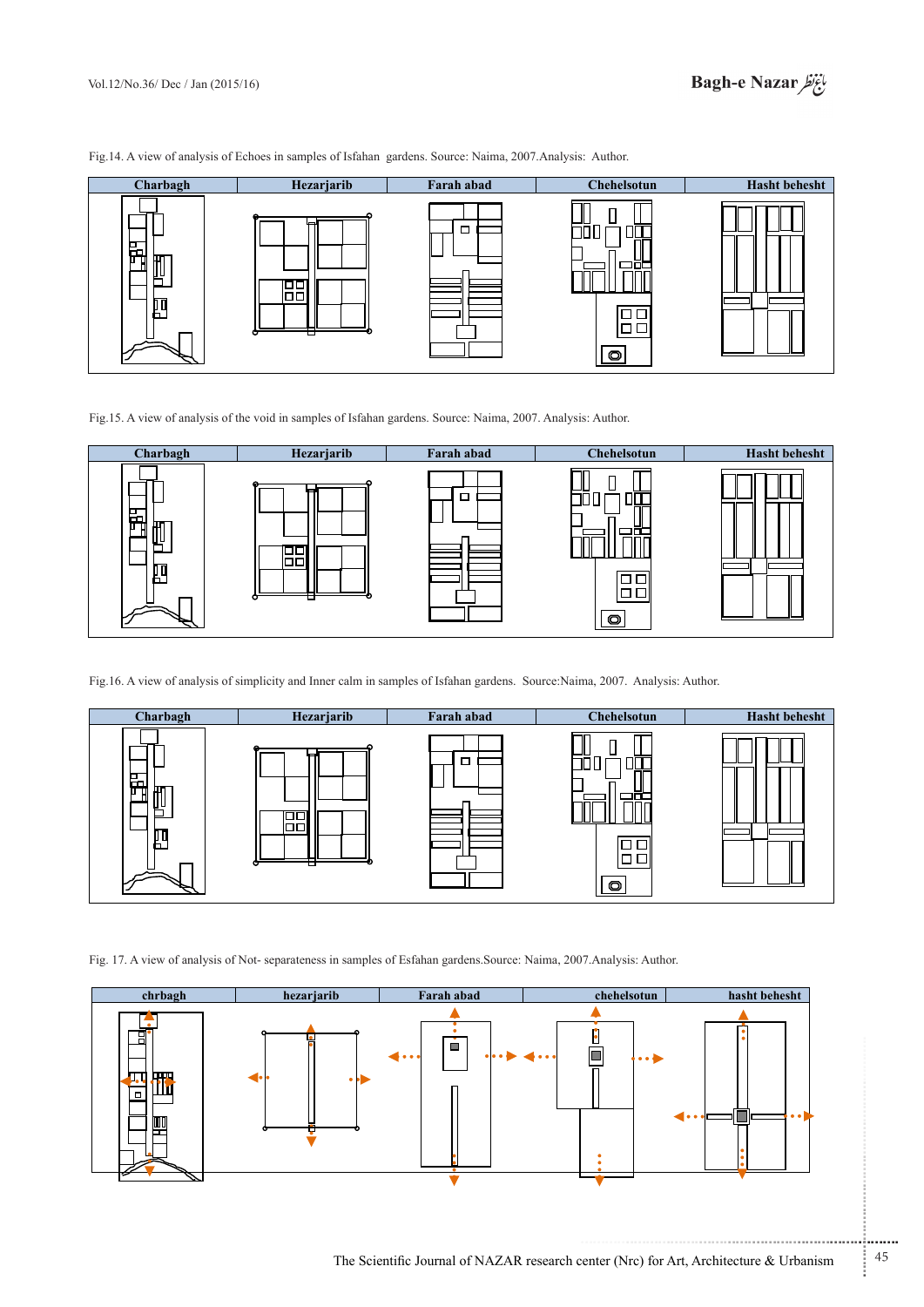Fig.14. A view of analysis of Echoes in samples of Isfahan gardens. Source: Naima, 2007. Analysis: Author.



Fig.15. A view of analysis of the void in samples of Isfahan gardens. Source: Naima, 2007. Analysis: Author.



Fig.16. A view of analysis of simplicity and Inner calm in samples of Isfahan gardens. Source:Naima, 2007. Analysis: Author.



Fig. 17. A view of analysis of Not-separateness in samples of Esfahan gardens. Source: Naima, 2007. Analysis: Author.



...........................................................

.......... ....... ........ ........... ...... ....... ........ .......... ...........